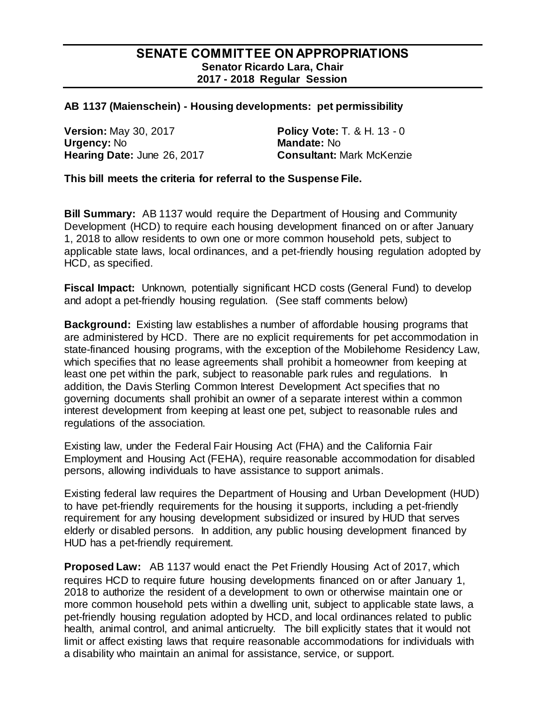## **SENATE COMMITTEE ON APPROPRIATIONS Senator Ricardo Lara, Chair 2017 - 2018 Regular Session**

## **AB 1137 (Maienschein) - Housing developments: pet permissibility**

**Version:** May 30, 2017 **Policy Vote: T. & H. 13 - 0<br>
<b>Urgency:** No **Branch Contract Mandate: No Urgency: No Hearing Date:** June 26, 2017 **Consultant:** Mark McKenzie

**This bill meets the criteria for referral to the Suspense File.**

**Bill Summary:** AB 1137 would require the Department of Housing and Community Development (HCD) to require each housing development financed on or after January 1, 2018 to allow residents to own one or more common household pets, subject to applicable state laws, local ordinances, and a pet-friendly housing regulation adopted by HCD, as specified.

**Fiscal Impact:** Unknown, potentially significant HCD costs (General Fund) to develop and adopt a pet-friendly housing regulation. (See staff comments below)

**Background:** Existing law establishes a number of affordable housing programs that are administered by HCD. There are no explicit requirements for pet accommodation in state-financed housing programs, with the exception of the Mobilehome Residency Law, which specifies that no lease agreements shall prohibit a homeowner from keeping at least one pet within the park, subject to reasonable park rules and regulations. In addition, the Davis Sterling Common Interest Development Act specifies that no governing documents shall prohibit an owner of a separate interest within a common interest development from keeping at least one pet, subject to reasonable rules and regulations of the association.

Existing law, under the Federal Fair Housing Act (FHA) and the California Fair Employment and Housing Act (FEHA), require reasonable accommodation for disabled persons, allowing individuals to have assistance to support animals.

Existing federal law requires the Department of Housing and Urban Development (HUD) to have pet-friendly requirements for the housing it supports, including a pet-friendly requirement for any housing development subsidized or insured by HUD that serves elderly or disabled persons. In addition, any public housing development financed by HUD has a pet-friendly requirement.

**Proposed Law:** AB 1137 would enact the Pet Friendly Housing Act of 2017, which requires HCD to require future housing developments financed on or after January 1, 2018 to authorize the resident of a development to own or otherwise maintain one or more common household pets within a dwelling unit, subject to applicable state laws, a pet-friendly housing regulation adopted by HCD, and local ordinances related to public health, animal control, and animal anticruelty. The bill explicitly states that it would not limit or affect existing laws that require reasonable accommodations for individuals with a disability who maintain an animal for assistance, service, or support.